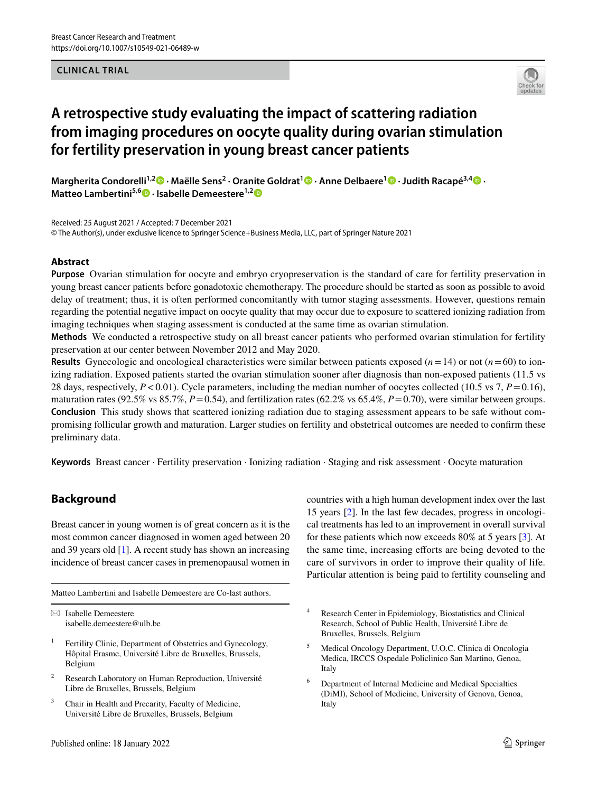# **CLINICAL TRIAL**



# **A retrospective study evaluating the impact of scattering radiation from imaging procedures on oocyte quality during ovarian stimulation for fertility preservation in young breast cancer patients**

**Margherita Condorelli1,2 · Maëlle Sens2 · Oranite Goldrat1  [·](http://orcid.org/0000-0002-7794-3133) Anne Delbaere1 · Judith Racapé3,4 · Matteo Lambertini5,6  [·](http://orcid.org/0000-0003-1797-5296) Isabelle Demeestere1,[2](http://orcid.org/0000-0002-3192-6565)**

Received: 25 August 2021 / Accepted: 7 December 2021 © The Author(s), under exclusive licence to Springer Science+Business Media, LLC, part of Springer Nature 2021

# **Abstract**

**Purpose** Ovarian stimulation for oocyte and embryo cryopreservation is the standard of care for fertility preservation in young breast cancer patients before gonadotoxic chemotherapy. The procedure should be started as soon as possible to avoid delay of treatment; thus, it is often performed concomitantly with tumor staging assessments. However, questions remain regarding the potential negative impact on oocyte quality that may occur due to exposure to scattered ionizing radiation from imaging techniques when staging assessment is conducted at the same time as ovarian stimulation.

**Methods** We conducted a retrospective study on all breast cancer patients who performed ovarian stimulation for fertility preservation at our center between November 2012 and May 2020.

**Results** Gynecologic and oncological characteristics were similar between patients exposed (*n*=14) or not (*n*=60) to ionizing radiation. Exposed patients started the ovarian stimulation sooner after diagnosis than non-exposed patients (11.5 vs 28 days, respectively,  $P < 0.01$ ). Cycle parameters, including the median number of oocytes collected (10.5 vs 7,  $P = 0.16$ ), maturation rates (92.5% vs 85.7%,  $P = 0.54$ ), and fertilization rates (62.2% vs 65.4%,  $P = 0.70$ ), were similar between groups. **Conclusion** This study shows that scattered ionizing radiation due to staging assessment appears to be safe without compromising follicular growth and maturation. Larger studies on fertility and obstetrical outcomes are needed to confrm these preliminary data.

**Keywords** Breast cancer · Fertility preservation · Ionizing radiation · Staging and risk assessment · Oocyte maturation

# **Background**

Breast cancer in young women is of great concern as it is the most common cancer diagnosed in women aged between 20 and 39 years old [[1\]](#page-6-0). A recent study has shown an increasing incidence of breast cancer cases in premenopausal women in

Matteo Lambertini and Isabelle Demeestere are Co-last authors.

 $\boxtimes$  Isabelle Demeestere isabelle.demeestere@ulb.be

- Fertility Clinic, Department of Obstetrics and Gynecology, Hôpital Erasme, Université Libre de Bruxelles, Brussels, Belgium
- <sup>2</sup> Research Laboratory on Human Reproduction, Université Libre de Bruxelles, Brussels, Belgium
- <sup>3</sup> Chair in Health and Precarity, Faculty of Medicine, Université Libre de Bruxelles, Brussels, Belgium

countries with a high human development index over the last 15 years [\[2](#page-6-1)]. In the last few decades, progress in oncological treatments has led to an improvement in overall survival for these patients which now exceeds 80% at 5 years [[3](#page-6-2)]. At the same time, increasing efforts are being devoted to the care of survivors in order to improve their quality of life. Particular attention is being paid to fertility counseling and

- <sup>4</sup> Research Center in Epidemiology, Biostatistics and Clinical Research, School of Public Health, Université Libre de Bruxelles, Brussels, Belgium
- <sup>5</sup> Medical Oncology Department, U.O.C. Clinica di Oncologia Medica, IRCCS Ospedale Policlinico San Martino, Genoa, Italy
- <sup>6</sup> Department of Internal Medicine and Medical Specialties (DiMI), School of Medicine, University of Genova, Genoa, Italy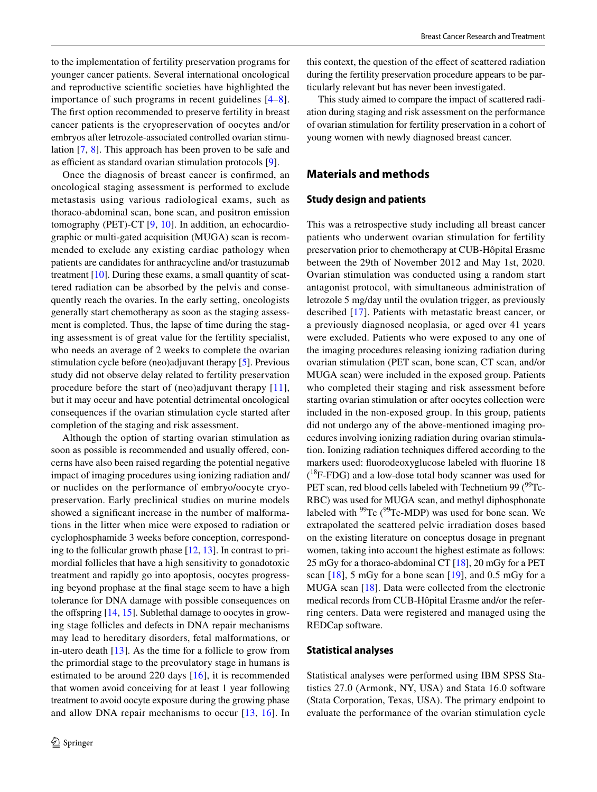to the implementation of fertility preservation programs for younger cancer patients. Several international oncological and reproductive scientifc societies have highlighted the importance of such programs in recent guidelines [[4–](#page-6-3)[8](#page-6-4)]. The frst option recommended to preserve fertility in breast cancer patients is the cryopreservation of oocytes and/or embryos after letrozole-associated controlled ovarian stimulation [\[7](#page-6-5), [8\]](#page-6-4). This approach has been proven to be safe and as efficient as standard ovarian stimulation protocols  $[9]$  $[9]$ .

Once the diagnosis of breast cancer is confrmed, an oncological staging assessment is performed to exclude metastasis using various radiological exams, such as thoraco-abdominal scan, bone scan, and positron emission tomography (PET)-CT [[9,](#page-6-6) [10](#page-6-7)]. In addition, an echocardiographic or multi-gated acquisition (MUGA) scan is recommended to exclude any existing cardiac pathology when patients are candidates for anthracycline and/or trastuzumab treatment [\[10\]](#page-6-7). During these exams, a small quantity of scattered radiation can be absorbed by the pelvis and consequently reach the ovaries. In the early setting, oncologists generally start chemotherapy as soon as the staging assessment is completed. Thus, the lapse of time during the staging assessment is of great value for the fertility specialist, who needs an average of 2 weeks to complete the ovarian stimulation cycle before (neo)adjuvant therapy [\[5](#page-6-8)]. Previous study did not observe delay related to fertility preservation procedure before the start of (neo)adjuvant therapy [[11](#page-6-9)], but it may occur and have potential detrimental oncological consequences if the ovarian stimulation cycle started after completion of the staging and risk assessment.

Although the option of starting ovarian stimulation as soon as possible is recommended and usually offered, concerns have also been raised regarding the potential negative impact of imaging procedures using ionizing radiation and/ or nuclides on the performance of embryo/oocyte cryopreservation. Early preclinical studies on murine models showed a signifcant increase in the number of malformations in the litter when mice were exposed to radiation or cyclophosphamide 3 weeks before conception, corresponding to the follicular growth phase [[12,](#page-6-10) [13](#page-6-11)]. In contrast to primordial follicles that have a high sensitivity to gonadotoxic treatment and rapidly go into apoptosis, oocytes progressing beyond prophase at the fnal stage seem to have a high tolerance for DNA damage with possible consequences on the offspring  $[14, 15]$  $[14, 15]$  $[14, 15]$ . Sublethal damage to oocytes in growing stage follicles and defects in DNA repair mechanisms may lead to hereditary disorders, fetal malformations, or in-utero death [[13](#page-6-11)]. As the time for a follicle to grow from the primordial stage to the preovulatory stage in humans is estimated to be around 220 days [[16\]](#page-6-14), it is recommended that women avoid conceiving for at least 1 year following treatment to avoid oocyte exposure during the growing phase and allow DNA repair mechanisms to occur [\[13,](#page-6-11) [16](#page-6-14)]. In this context, the question of the efect of scattered radiation during the fertility preservation procedure appears to be particularly relevant but has never been investigated.

This study aimed to compare the impact of scattered radiation during staging and risk assessment on the performance of ovarian stimulation for fertility preservation in a cohort of young women with newly diagnosed breast cancer.

# **Materials and methods**

### **Study design and patients**

This was a retrospective study including all breast cancer patients who underwent ovarian stimulation for fertility preservation prior to chemotherapy at CUB-Hôpital Erasme between the 29th of November 2012 and May 1st, 2020. Ovarian stimulation was conducted using a random start antagonist protocol, with simultaneous administration of letrozole 5 mg/day until the ovulation trigger, as previously described [[17](#page-6-15)]. Patients with metastatic breast cancer, or a previously diagnosed neoplasia, or aged over 41 years were excluded. Patients who were exposed to any one of the imaging procedures releasing ionizing radiation during ovarian stimulation (PET scan, bone scan, CT scan, and/or MUGA scan) were included in the exposed group. Patients who completed their staging and risk assessment before starting ovarian stimulation or after oocytes collection were included in the non-exposed group. In this group, patients did not undergo any of the above-mentioned imaging procedures involving ionizing radiation during ovarian stimulation. Ionizing radiation techniques difered according to the markers used: fuorodeoxyglucose labeled with fuorine 18  $(^{18}F-FDG)$  and a low-dose total body scanner was used for PET scan, red blood cells labeled with Technetium 99  $(^{99}$ Tc-RBC) was used for MUGA scan, and methyl diphosphonate labeled with  $99Tc$  ( $99Tc-MDP$ ) was used for bone scan. We extrapolated the scattered pelvic irradiation doses based on the existing literature on conceptus dosage in pregnant women, taking into account the highest estimate as follows: 25 mGy for a thoraco-abdominal CT  $[18]$ , 20 mGy for a PET scan  $[18]$  $[18]$ , 5 mGy for a bone scan  $[19]$  $[19]$ , and 0.5 mGy for a MUGA scan [[18\]](#page-6-16). Data were collected from the electronic medical records from CUB-Hôpital Erasme and/or the referring centers. Data were registered and managed using the REDCap software.

#### **Statistical analyses**

Statistical analyses were performed using IBM SPSS Statistics 27.0 (Armonk, NY, USA) and Stata 16.0 software (Stata Corporation, Texas, USA). The primary endpoint to evaluate the performance of the ovarian stimulation cycle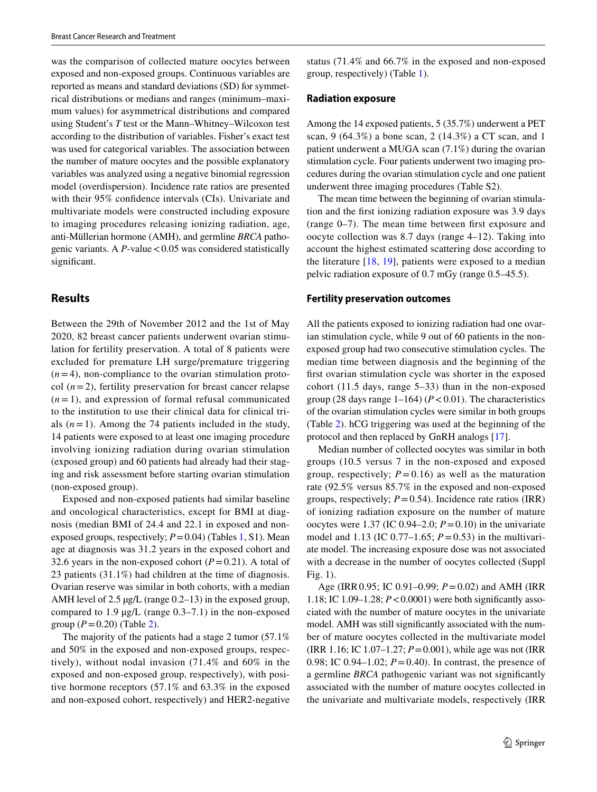was the comparison of collected mature oocytes between exposed and non-exposed groups. Continuous variables are reported as means and standard deviations (SD) for symmetrical distributions or medians and ranges (minimum–maximum values) for asymmetrical distributions and compared using Student's *T* test or the Mann–Whitney–Wilcoxon test according to the distribution of variables. Fisher's exact test was used for categorical variables. The association between the number of mature oocytes and the possible explanatory variables was analyzed using a negative binomial regression model (overdispersion). Incidence rate ratios are presented with their 95% confdence intervals (CIs). Univariate and multivariate models were constructed including exposure to imaging procedures releasing ionizing radiation, age, anti-Müllerian hormone (AMH), and germline *BRCA* pathogenic variants. A  $P$ -value < 0.05 was considered statistically significant.

# **Results**

Between the 29th of November 2012 and the 1st of May 2020, 82 breast cancer patients underwent ovarian stimulation for fertility preservation. A total of 8 patients were excluded for premature LH surge/premature triggering  $(n=4)$ , non-compliance to the ovarian stimulation protocol  $(n=2)$ , fertility preservation for breast cancer relapse  $(n=1)$ , and expression of formal refusal communicated to the institution to use their clinical data for clinical trials  $(n=1)$ . Among the 74 patients included in the study, 14 patients were exposed to at least one imaging procedure involving ionizing radiation during ovarian stimulation (exposed group) and 60 patients had already had their staging and risk assessment before starting ovarian stimulation (non-exposed group).

Exposed and non-exposed patients had similar baseline and oncological characteristics, except for BMI at diagnosis (median BMI of 24.4 and 22.1 in exposed and nonexposed groups, respectively;  $P = 0.04$ ) (Tables [1](#page-3-0), S1). Mean age at diagnosis was 31.2 years in the exposed cohort and 32.6 years in the non-exposed cohort  $(P=0.21)$ . A total of 23 patients (31.1%) had children at the time of diagnosis. Ovarian reserve was similar in both cohorts, with a median AMH level of 2.5 µg/L (range 0.2–13) in the exposed group, compared to  $1.9 \mu g/L$  (range  $0.3-7.1$ ) in the non-exposed group  $(P = 0.20)$  (Table [2](#page-4-0)).

The majority of the patients had a stage 2 tumor (57.1% and 50% in the exposed and non-exposed groups, respectively), without nodal invasion (71.4% and 60% in the exposed and non-exposed group, respectively), with positive hormone receptors (57.1% and 63.3% in the exposed and non-exposed cohort, respectively) and HER2-negative status (71.4% and 66.7% in the exposed and non-exposed group, respectively) (Table [1](#page-3-0)).

#### **Radiation exposure**

Among the 14 exposed patients, 5 (35.7%) underwent a PET scan, 9 (64.3%) a bone scan, 2 (14.3%) a CT scan, and 1 patient underwent a MUGA scan (7.1%) during the ovarian stimulation cycle. Four patients underwent two imaging procedures during the ovarian stimulation cycle and one patient underwent three imaging procedures (Table S2).

The mean time between the beginning of ovarian stimulation and the frst ionizing radiation exposure was 3.9 days (range 0–7). The mean time between frst exposure and oocyte collection was 8.7 days (range 4–12). Taking into account the highest estimated scattering dose according to the literature [[18](#page-6-16), [19\]](#page-7-0), patients were exposed to a median pelvic radiation exposure of 0.7 mGy (range 0.5–45.5).

#### **Fertility preservation outcomes**

All the patients exposed to ionizing radiation had one ovarian stimulation cycle, while 9 out of 60 patients in the nonexposed group had two consecutive stimulation cycles. The median time between diagnosis and the beginning of the frst ovarian stimulation cycle was shorter in the exposed cohort (11.5 days, range 5–33) than in the non-exposed group (28 days range  $1-164$ ) ( $P < 0.01$ ). The characteristics of the ovarian stimulation cycles were similar in both groups (Table [2\)](#page-4-0). hCG triggering was used at the beginning of the protocol and then replaced by GnRH analogs [[17\]](#page-6-15).

Median number of collected oocytes was similar in both groups (10.5 versus 7 in the non-exposed and exposed group, respectively;  $P = 0.16$ ) as well as the maturation rate (92.5% versus 85.7% in the exposed and non-exposed groups, respectively;  $P = 0.54$ ). Incidence rate ratios (IRR) of ionizing radiation exposure on the number of mature oocytes were 1.37 (IC 0.94–2.0;  $P = 0.10$ ) in the univariate model and 1.13 (IC  $0.77-1.65$ ;  $P = 0.53$ ) in the multivariate model. The increasing exposure dose was not associated with a decrease in the number of oocytes collected (Suppl Fig. 1).

Age (IRR0.95; IC 0.91–0.99; *P*=0.02) and AMH (IRR 1.18; IC 1.09–1.28; *P*<0.0001) were both signifcantly associated with the number of mature oocytes in the univariate model. AMH was still signifcantly associated with the number of mature oocytes collected in the multivariate model (IRR 1.16; IC 1.07–1.27; *P*=0.001), while age was not (IRR 0.98; IC 0.94–1.02;  $P = 0.40$ ). In contrast, the presence of a germline *BRCA* pathogenic variant was not signifcantly associated with the number of mature oocytes collected in the univariate and multivariate models, respectively (IRR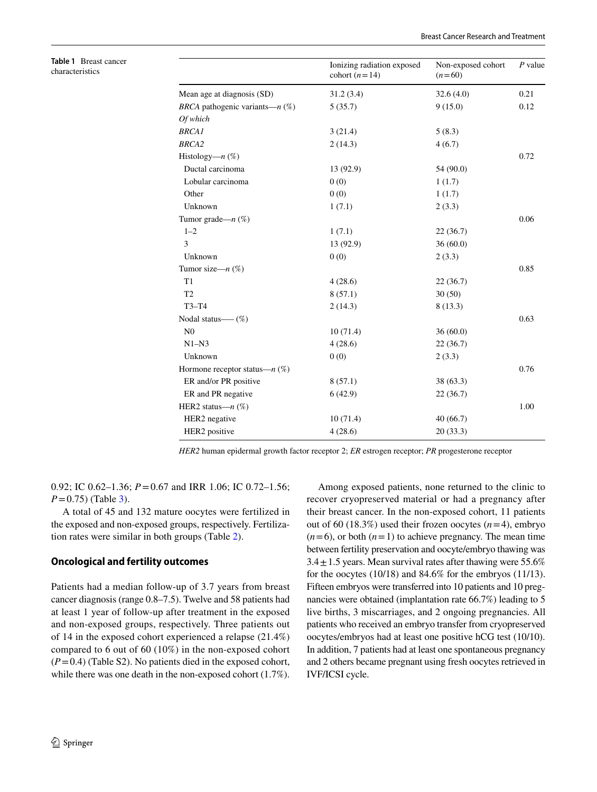|                                          | Ionizing radiation exposed<br>cohort $(n=14)$ | Non-exposed cohort<br>$(n=60)$ | $P$ value |
|------------------------------------------|-----------------------------------------------|--------------------------------|-----------|
| Mean age at diagnosis (SD)               | 31.2(3.4)                                     | 32.6(4.0)                      | 0.21      |
| <i>BRCA</i> pathogenic variants— $n$ (%) | 5(35.7)                                       | 9(15.0)                        | 0.12      |
| Of which                                 |                                               |                                |           |
| <b>BRCA1</b>                             | 3(21.4)                                       | 5(8.3)                         |           |
| <b>BRCA2</b>                             | 2(14.3)                                       | 4(6.7)                         |           |
| Histology— $n$ (%)                       |                                               |                                | 0.72      |
| Ductal carcinoma                         | 13 (92.9)                                     | 54 (90.0)                      |           |
| Lobular carcinoma                        | 0(0)                                          | 1(1.7)                         |           |
| Other                                    | 0(0)                                          | 1(1.7)                         |           |
| Unknown                                  | 1(7.1)                                        | 2(3.3)                         |           |
| Tumor grade— $n$ (%)                     |                                               |                                | 0.06      |
| $1 - 2$                                  | 1(7.1)                                        | 22(36.7)                       |           |
| 3                                        | 13 (92.9)                                     | 36(60.0)                       |           |
| Unknown                                  | 0(0)                                          | 2(3.3)                         |           |
| Tumor size— $n$ (%)                      |                                               |                                | 0.85      |
| T1                                       | 4(28.6)                                       | 22(36.7)                       |           |
| T <sub>2</sub>                           | 8(57.1)                                       | 30(50)                         |           |
| $T3-T4$                                  | 2(14.3)                                       | 8(13.3)                        |           |
| Nodal status— $(\%)$                     |                                               |                                | 0.63      |
| N <sub>0</sub>                           | 10(71.4)                                      | 36(60.0)                       |           |
| $N1-N3$                                  | 4(28.6)                                       | 22(36.7)                       |           |
| Unknown                                  | 0(0)                                          | 2(3.3)                         |           |
| Hormone receptor status— $n$ (%)         |                                               |                                | 0.76      |
| ER and/or PR positive                    | 8(57.1)                                       | 38 (63.3)                      |           |
| ER and PR negative                       | 6(42.9)                                       | 22 (36.7)                      |           |
| HER2 status— $n$ $(\%)$                  |                                               |                                | 1.00      |
| HER2 negative                            | 10(71.4)                                      | 40(66.7)                       |           |
| HER2 positive                            | 4(28.6)                                       | 20(33.3)                       |           |

*HER2* human epidermal growth factor receptor 2; *ER* estrogen receptor; *PR* progesterone receptor

0.92; IC 0.62–1.36; *P*=0.67 and IRR 1.06; IC 0.72–1.56;  $P = 0.75$ ) (Table [3\)](#page-5-0).

A total of 45 and 132 mature oocytes were fertilized in the exposed and non-exposed groups, respectively. Fertilization rates were similar in both groups (Table [2](#page-4-0)).

#### **Oncological and fertility outcomes**

<span id="page-3-0"></span>**Table 1** Breast cancer characteristics

Patients had a median follow-up of 3.7 years from breast cancer diagnosis (range 0.8–7.5). Twelve and 58 patients had at least 1 year of follow-up after treatment in the exposed and non-exposed groups, respectively. Three patients out of 14 in the exposed cohort experienced a relapse (21.4%) compared to 6 out of 60 (10%) in the non-exposed cohort  $(P=0.4)$  (Table S2). No patients died in the exposed cohort, while there was one death in the non-exposed cohort (1.7%).

Among exposed patients, none returned to the clinic to recover cryopreserved material or had a pregnancy after their breast cancer. In the non-exposed cohort, 11 patients out of 60 (18.3%) used their frozen oocytes  $(n=4)$ , embryo  $(n=6)$ , or both  $(n=1)$  to achieve pregnancy. The mean time between fertility preservation and oocyte/embryo thawing was  $3.4 \pm 1.5$  years. Mean survival rates after thawing were 55.6% for the oocytes (10/18) and 84.6% for the embryos (11/13). Fifteen embryos were transferred into 10 patients and 10 pregnancies were obtained (implantation rate 66.7%) leading to 5 live births, 3 miscarriages, and 2 ongoing pregnancies. All patients who received an embryo transfer from cryopreserved oocytes/embryos had at least one positive hCG test (10/10). In addition, 7 patients had at least one spontaneous pregnancy and 2 others became pregnant using fresh oocytes retrieved in IVF/ICSI cycle.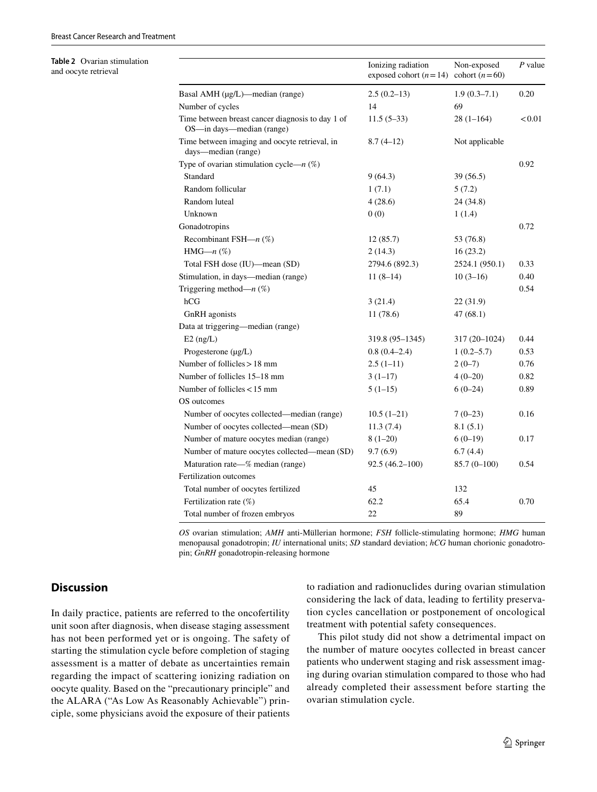#### <span id="page-4-0"></span>**Table 2** Ovarian stimulation and oocyte retrieval

|                                                                               | Ionizing radiation<br>exposed cohort $(n=14)$ cohort $(n=60)$ | Non-exposed    | $P$ value     |
|-------------------------------------------------------------------------------|---------------------------------------------------------------|----------------|---------------|
| Basal AMH (µg/L)—median (range)                                               | $2.5(0.2-13)$                                                 | $1.9(0.3-7.1)$ | 0.20          |
| Number of cycles                                                              | 14                                                            | 69             |               |
| Time between breast cancer diagnosis to day 1 of<br>OS-in days-median (range) | $11.5(5-33)$                                                  | 28 (1–164)     | ${}_{< 0.01}$ |
| Time between imaging and oocyte retrieval, in<br>days-median (range)          | $8.7(4-12)$                                                   | Not applicable |               |
| Type of ovarian stimulation cycle— $n$ (%)                                    |                                                               |                | 0.92          |
| Standard                                                                      | 9(64.3)                                                       | 39 (56.5)      |               |
| Random follicular                                                             | 1(7.1)                                                        | 5(7.2)         |               |
| Random luteal                                                                 | 4(28.6)                                                       | 24 (34.8)      |               |
| Unknown                                                                       | 0(0)                                                          | 1(1.4)         |               |
| Gonadotropins                                                                 |                                                               |                | 0.72          |
| Recombinant FSH— $n$ (%)                                                      | 12(85.7)                                                      | 53 (76.8)      |               |
| HMG— $n$ (%)                                                                  | 2(14.3)                                                       | 16(23.2)       |               |
| Total FSH dose (IU)—mean (SD)                                                 | 2794.6 (892.3)                                                | 2524.1 (950.1) | 0.33          |
| Stimulation, in days-median (range)                                           | $11(8-14)$                                                    | $10(3-16)$     | 0.40          |
| Triggering method— $n$ (%)                                                    |                                                               |                | 0.54          |
| hCG                                                                           | 3(21.4)                                                       | 22 (31.9)      |               |
| GnRH agonists                                                                 | 11(78.6)                                                      | 47(68.1)       |               |
| Data at triggering—median (range)                                             |                                                               |                |               |
| $E2$ (ng/L)                                                                   | 319.8 (95–1345)                                               | 317 (20-1024)  | 0.44          |
| Progesterone $(\mu g/L)$                                                      | $0.8(0.4-2.4)$                                                | $1(0.2 - 5.7)$ | 0.53          |
| Number of follicles $> 18$ mm                                                 | $2.5(1-11)$                                                   | $2(0-7)$       | 0.76          |
| Number of follicles 15–18 mm                                                  | $3(1-17)$                                                     | $4(0-20)$      | 0.82          |
| Number of follicles $< 15$ mm                                                 | $5(1-15)$                                                     | $6(0-24)$      | 0.89          |
| OS outcomes                                                                   |                                                               |                |               |
| Number of oocytes collected—median (range)                                    | $10.5(1-21)$                                                  | $7(0-23)$      | 0.16          |
| Number of oocytes collected—mean (SD)                                         | 11.3(7.4)                                                     | 8.1(5.1)       |               |
| Number of mature oocytes median (range)                                       | $8(1-20)$                                                     | $6(0-19)$      | 0.17          |
| Number of mature oocytes collected-mean (SD)                                  | 9.7(6.9)                                                      | 6.7(4.4)       |               |
| Maturation rate-% median (range)                                              | $92.5(46.2 - 100)$                                            | $85.7(0-100)$  | 0.54          |
| Fertilization outcomes                                                        |                                                               |                |               |
| Total number of oocytes fertilized                                            | 45                                                            | 132            |               |
| Fertilization rate $(\%)$                                                     | 62.2                                                          | 65.4           | 0.70          |
| Total number of frozen embryos                                                | 22                                                            | 89             |               |

*OS* ovarian stimulation; *AMH* anti-Müllerian hormone; *FSH* follicle-stimulating hormone; *HMG* human menopausal gonadotropin; *IU* international units; *SD* standard deviation; *hCG* human chorionic gonadotropin; *GnRH* gonadotropin-releasing hormone

# **Discussion**

In daily practice, patients are referred to the oncofertility unit soon after diagnosis, when disease staging assessment has not been performed yet or is ongoing. The safety of starting the stimulation cycle before completion of staging assessment is a matter of debate as uncertainties remain regarding the impact of scattering ionizing radiation on oocyte quality. Based on the "precautionary principle" and the ALARA ("As Low As Reasonably Achievable") principle, some physicians avoid the exposure of their patients to radiation and radionuclides during ovarian stimulation considering the lack of data, leading to fertility preservation cycles cancellation or postponement of oncological treatment with potential safety consequences.

This pilot study did not show a detrimental impact on the number of mature oocytes collected in breast cancer patients who underwent staging and risk assessment imaging during ovarian stimulation compared to those who had already completed their assessment before starting the ovarian stimulation cycle.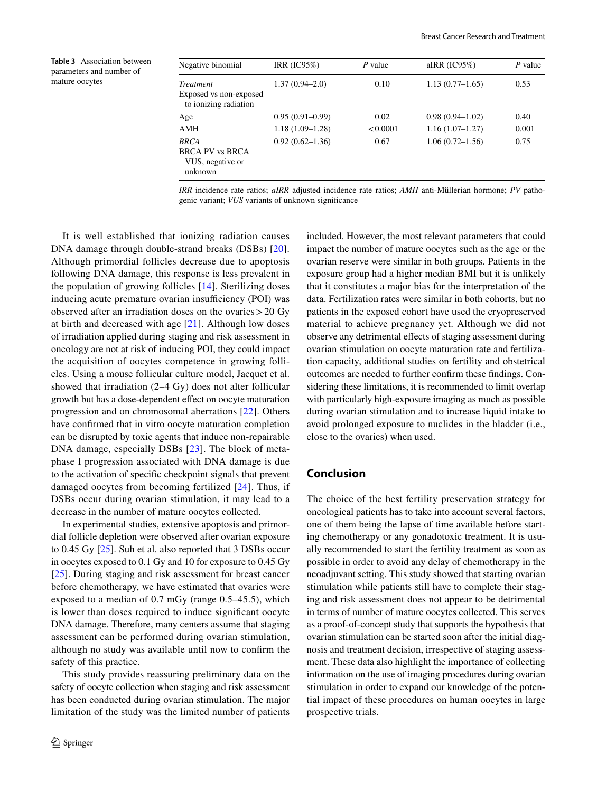<span id="page-5-0"></span>**Table 3** Association between parameters and number of mature oocytes

| Negative binomial                                                    | IRR $(IC95%)$       | $P$ value | aIRR $(IC95%)$      | P value |
|----------------------------------------------------------------------|---------------------|-----------|---------------------|---------|
| <i>Treatment</i><br>Exposed vs non-exposed<br>to ionizing radiation  | $1.37(0.94 - 2.0)$  | 0.10      | $1.13(0.77-1.65)$   | 0.53    |
| Age                                                                  | $0.95(0.91-0.99)$   | 0.02      | $0.98(0.94 - 1.02)$ | 0.40    |
| <b>AMH</b>                                                           | $1.18(1.09-1.28)$   | < 0.0001  | $1.16(1.07-1.27)$   | 0.001   |
| <b>BRCA</b><br><b>BRCA PV vs BRCA</b><br>VUS, negative or<br>unknown | $0.92(0.62 - 1.36)$ | 0.67      | $1.06(0.72 - 1.56)$ | 0.75    |

*IRR* incidence rate ratios; *aIRR* adjusted incidence rate ratios; *AMH* anti-Müllerian hormone; *PV* pathogenic variant; *VUS* variants of unknown signifcance

It is well established that ionizing radiation causes DNA damage through double-strand breaks (DSBs) [[20](#page-7-1)]. Although primordial follicles decrease due to apoptosis following DNA damage, this response is less prevalent in the population of growing follicles [\[14](#page-6-12)]. Sterilizing doses inducing acute premature ovarian insufficiency (POI) was observed after an irradiation doses on the ovaries>20 Gy at birth and decreased with age [\[21](#page-7-2)]. Although low doses of irradiation applied during staging and risk assessment in oncology are not at risk of inducing POI, they could impact the acquisition of oocytes competence in growing follicles. Using a mouse follicular culture model, Jacquet et al. showed that irradiation (2–4 Gy) does not alter follicular growth but has a dose-dependent efect on oocyte maturation progression and on chromosomal aberrations [[22\]](#page-7-3). Others have confrmed that in vitro oocyte maturation completion can be disrupted by toxic agents that induce non-repairable DNA damage, especially DSBs [[23](#page-7-4)]. The block of metaphase I progression associated with DNA damage is due to the activation of specifc checkpoint signals that prevent damaged oocytes from becoming fertilized [[24](#page-7-5)]. Thus, if DSBs occur during ovarian stimulation, it may lead to a decrease in the number of mature oocytes collected.

In experimental studies, extensive apoptosis and primordial follicle depletion were observed after ovarian exposure to 0.45 Gy [\[25](#page-7-6)]. Suh et al. also reported that 3 DSBs occur in oocytes exposed to 0.1 Gy and 10 for exposure to 0.45 Gy [\[25\]](#page-7-6). During staging and risk assessment for breast cancer before chemotherapy, we have estimated that ovaries were exposed to a median of 0.7 mGy (range 0.5–45.5), which is lower than doses required to induce signifcant oocyte DNA damage. Therefore, many centers assume that staging assessment can be performed during ovarian stimulation, although no study was available until now to confrm the safety of this practice.

This study provides reassuring preliminary data on the safety of oocyte collection when staging and risk assessment has been conducted during ovarian stimulation. The major limitation of the study was the limited number of patients included. However, the most relevant parameters that could impact the number of mature oocytes such as the age or the ovarian reserve were similar in both groups. Patients in the exposure group had a higher median BMI but it is unlikely that it constitutes a major bias for the interpretation of the data. Fertilization rates were similar in both cohorts, but no patients in the exposed cohort have used the cryopreserved material to achieve pregnancy yet. Although we did not observe any detrimental effects of staging assessment during ovarian stimulation on oocyte maturation rate and fertilization capacity, additional studies on fertility and obstetrical outcomes are needed to further confrm these fndings. Considering these limitations, it is recommended to limit overlap with particularly high-exposure imaging as much as possible during ovarian stimulation and to increase liquid intake to avoid prolonged exposure to nuclides in the bladder (i.e., close to the ovaries) when used.

## **Conclusion**

The choice of the best fertility preservation strategy for oncological patients has to take into account several factors, one of them being the lapse of time available before starting chemotherapy or any gonadotoxic treatment. It is usually recommended to start the fertility treatment as soon as possible in order to avoid any delay of chemotherapy in the neoadjuvant setting. This study showed that starting ovarian stimulation while patients still have to complete their staging and risk assessment does not appear to be detrimental in terms of number of mature oocytes collected. This serves as a proof-of-concept study that supports the hypothesis that ovarian stimulation can be started soon after the initial diagnosis and treatment decision, irrespective of staging assessment. These data also highlight the importance of collecting information on the use of imaging procedures during ovarian stimulation in order to expand our knowledge of the potential impact of these procedures on human oocytes in large prospective trials.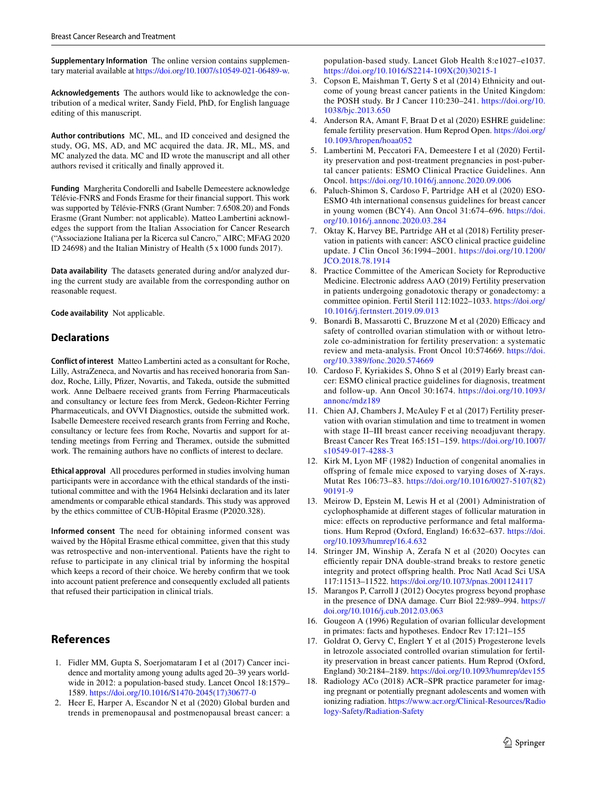**Supplementary Information** The online version contains supplementary material available at<https://doi.org/10.1007/s10549-021-06489-w>.

**Acknowledgements** The authors would like to acknowledge the contribution of a medical writer, Sandy Field, PhD, for English language editing of this manuscript.

**Author contributions** MC, ML, and ID conceived and designed the study, OG, MS, AD, and MC acquired the data. JR, ML, MS, and MC analyzed the data. MC and ID wrote the manuscript and all other authors revised it critically and fnally approved it.

**Funding** Margherita Condorelli and Isabelle Demeestere acknowledge Télévie-FNRS and Fonds Erasme for their fnancial support. This work was supported by Télévie-FNRS (Grant Number: 7.6508.20) and Fonds Erasme (Grant Number: not applicable). Matteo Lambertini acknowledges the support from the Italian Association for Cancer Research ("Associazione Italiana per la Ricerca sul Cancro," AIRC; MFAG 2020 ID 24698) and the Italian Ministry of Health (5 x 1000 funds 2017).

**Data availability** The datasets generated during and/or analyzed during the current study are available from the corresponding author on reasonable request.

**Code availability** Not applicable.

# **Declarations**

**Conflict of interest** Matteo Lambertini acted as a consultant for Roche, Lilly, AstraZeneca, and Novartis and has received honoraria from Sandoz, Roche, Lilly, Pfizer, Novartis, and Takeda, outside the submitted work. Anne Delbaere received grants from Ferring Pharmaceuticals and consultancy or lecture fees from Merck, Gedeon-Richter Ferring Pharmaceuticals, and OVVI Diagnostics, outside the submitted work. Isabelle Demeestere received research grants from Ferring and Roche, consultancy or lecture fees from Roche, Novartis and support for attending meetings from Ferring and Theramex, outside the submitted work. The remaining authors have no conficts of interest to declare.

**Ethical approval** All procedures performed in studies involving human participants were in accordance with the ethical standards of the institutional committee and with the 1964 Helsinki declaration and its later amendments or comparable ethical standards. This study was approved by the ethics committee of CUB-Hôpital Erasme (P2020.328).

**Informed consent** The need for obtaining informed consent was waived by the Hôpital Erasme ethical committee, given that this study was retrospective and non-interventional. Patients have the right to refuse to participate in any clinical trial by informing the hospital which keeps a record of their choice. We hereby confrm that we took into account patient preference and consequently excluded all patients that refused their participation in clinical trials.

# **References**

- <span id="page-6-0"></span>1. Fidler MM, Gupta S, Soerjomataram I et al (2017) Cancer incidence and mortality among young adults aged 20–39 years worldwide in 2012: a population-based study. Lancet Oncol 18:1579– 1589. [https://doi.org/10.1016/S1470-2045\(17\)30677-0](https://doi.org/10.1016/S1470-2045(17)30677-0)
- <span id="page-6-1"></span>2. Heer E, Harper A, Escandor N et al (2020) Global burden and trends in premenopausal and postmenopausal breast cancer: a

population-based study. Lancet Glob Health 8:e1027–e1037. [https://doi.org/10.1016/S2214-109X\(20\)30215-1](https://doi.org/10.1016/S2214-109X(20)30215-1)

- <span id="page-6-2"></span>3. Copson E, Maishman T, Gerty S et al (2014) Ethnicity and outcome of young breast cancer patients in the United Kingdom: the POSH study. Br J Cancer 110:230–241. [https://doi.org/10.](https://doi.org/10.1038/bjc.2013.650) [1038/bjc.2013.650](https://doi.org/10.1038/bjc.2013.650)
- <span id="page-6-3"></span>4. Anderson RA, Amant F, Braat D et al (2020) ESHRE guideline: female fertility preservation. Hum Reprod Open. [https://doi.org/](https://doi.org/10.1093/hropen/hoaa052) [10.1093/hropen/hoaa052](https://doi.org/10.1093/hropen/hoaa052)
- <span id="page-6-8"></span>5. Lambertini M, Peccatori FA, Demeestere I et al (2020) Fertility preservation and post-treatment pregnancies in post-pubertal cancer patients: ESMO Clinical Practice Guidelines. Ann Oncol.<https://doi.org/10.1016/j.annonc.2020.09.006>
- 6. Paluch-Shimon S, Cardoso F, Partridge AH et al (2020) ESO-ESMO 4th international consensus guidelines for breast cancer in young women (BCY4). Ann Oncol 31:674–696. [https://doi.](https://doi.org/10.1016/j.annonc.2020.03.284) [org/10.1016/j.annonc.2020.03.284](https://doi.org/10.1016/j.annonc.2020.03.284)
- <span id="page-6-5"></span>7. Oktay K, Harvey BE, Partridge AH et al (2018) Fertility preservation in patients with cancer: ASCO clinical practice guideline update. J Clin Oncol 36:1994–2001. [https://doi.org/10.1200/](https://doi.org/10.1200/JCO.2018.78.1914) [JCO.2018.78.1914](https://doi.org/10.1200/JCO.2018.78.1914)
- <span id="page-6-4"></span>8. Practice Committee of the American Society for Reproductive Medicine. Electronic address AAO (2019) Fertility preservation in patients undergoing gonadotoxic therapy or gonadectomy: a committee opinion. Fertil Steril 112:1022–1033. [https://doi.org/](https://doi.org/10.1016/j.fertnstert.2019.09.013) [10.1016/j.fertnstert.2019.09.013](https://doi.org/10.1016/j.fertnstert.2019.09.013)
- <span id="page-6-6"></span>9. Bonardi B, Massarotti C, Bruzzone M et al (2020) Efficacy and safety of controlled ovarian stimulation with or without letrozole co-administration for fertility preservation: a systematic review and meta-analysis. Front Oncol 10:574669. [https://doi.](https://doi.org/10.3389/fonc.2020.574669) [org/10.3389/fonc.2020.574669](https://doi.org/10.3389/fonc.2020.574669)
- <span id="page-6-7"></span>10. Cardoso F, Kyriakides S, Ohno S et al (2019) Early breast cancer: ESMO clinical practice guidelines for diagnosis, treatment and follow-up. Ann Oncol 30:1674. [https://doi.org/10.1093/](https://doi.org/10.1093/annonc/mdz189) [annonc/mdz189](https://doi.org/10.1093/annonc/mdz189)
- <span id="page-6-9"></span>11. Chien AJ, Chambers J, McAuley F et al (2017) Fertility preservation with ovarian stimulation and time to treatment in women with stage II–III breast cancer receiving neoadjuvant therapy. Breast Cancer Res Treat 165:151–159. [https://doi.org/10.1007/](https://doi.org/10.1007/s10549-017-4288-3) [s10549-017-4288-3](https://doi.org/10.1007/s10549-017-4288-3)
- <span id="page-6-10"></span>12. Kirk M, Lyon MF (1982) Induction of congenital anomalies in ofspring of female mice exposed to varying doses of X-rays. Mutat Res 106:73–83. [https://doi.org/10.1016/0027-5107\(82\)](https://doi.org/10.1016/0027-5107(82)90191-9) [90191-9](https://doi.org/10.1016/0027-5107(82)90191-9)
- <span id="page-6-11"></span>13. Meirow D, Epstein M, Lewis H et al (2001) Administration of cyclophosphamide at diferent stages of follicular maturation in mice: effects on reproductive performance and fetal malformations. Hum Reprod (Oxford, England) 16:632–637. [https://doi.](https://doi.org/10.1093/humrep/16.4.632) [org/10.1093/humrep/16.4.632](https://doi.org/10.1093/humrep/16.4.632)
- <span id="page-6-12"></span>14. Stringer JM, Winship A, Zerafa N et al (2020) Oocytes can efficiently repair DNA double-strand breaks to restore genetic integrity and protect ofspring health. Proc Natl Acad Sci USA 117:11513–11522. <https://doi.org/10.1073/pnas.2001124117>
- <span id="page-6-13"></span>15. Marangos P, Carroll J (2012) Oocytes progress beyond prophase in the presence of DNA damage. Curr Biol 22:989–994. [https://](https://doi.org/10.1016/j.cub.2012.03.063) [doi.org/10.1016/j.cub.2012.03.063](https://doi.org/10.1016/j.cub.2012.03.063)
- <span id="page-6-14"></span>16. Gougeon A (1996) Regulation of ovarian follicular development in primates: facts and hypotheses. Endocr Rev 17:121–155
- <span id="page-6-15"></span>17. Goldrat O, Gervy C, Englert Y et al (2015) Progesterone levels in letrozole associated controlled ovarian stimulation for fertility preservation in breast cancer patients. Hum Reprod (Oxford, England) 30:2184–2189.<https://doi.org/10.1093/humrep/dev155>
- <span id="page-6-16"></span>18. Radiology ACo (2018) ACR–SPR practice parameter for imaging pregnant or potentially pregnant adolescents and women with ionizing radiation. [https://www.acr.org/Clinical-Resources/Radio](https://www.acr.org/Clinical-Resources/Radiology-Safety/Radiation-Safety) [logy-Safety/Radiation-Safety](https://www.acr.org/Clinical-Resources/Radiology-Safety/Radiation-Safety)